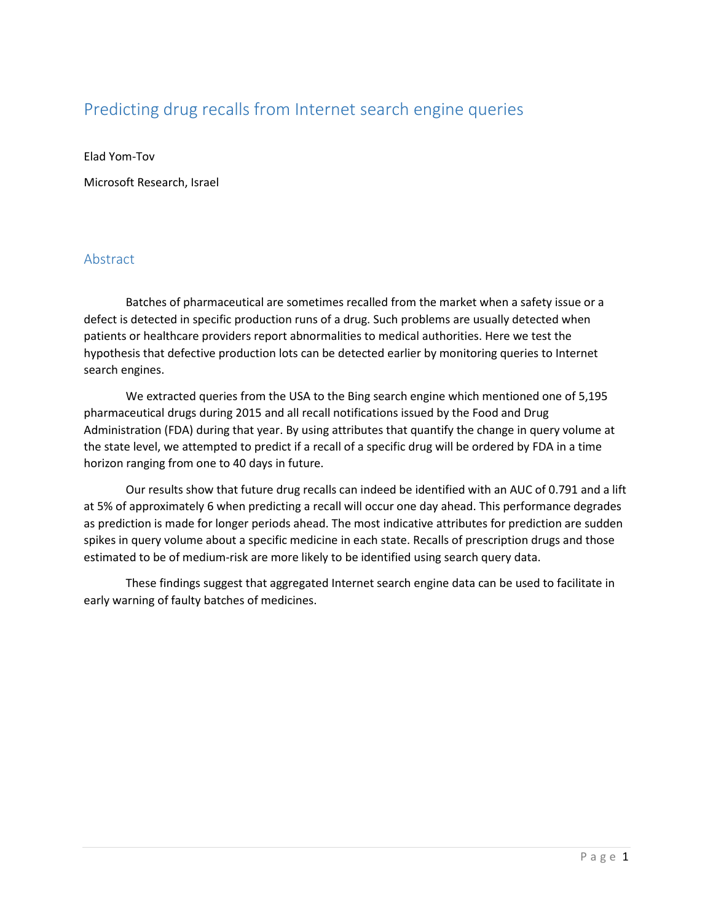# Predicting drug recalls from Internet search engine queries

Elad Yom-Tov

Microsoft Research, Israel

# Abstract

Batches of pharmaceutical are sometimes recalled from the market when a safety issue or a defect is detected in specific production runs of a drug. Such problems are usually detected when patients or healthcare providers report abnormalities to medical authorities. Here we test the hypothesis that defective production lots can be detected earlier by monitoring queries to Internet search engines.

We extracted queries from the USA to the Bing search engine which mentioned one of 5,195 pharmaceutical drugs during 2015 and all recall notifications issued by the Food and Drug Administration (FDA) during that year. By using attributes that quantify the change in query volume at the state level, we attempted to predict if a recall of a specific drug will be ordered by FDA in a time horizon ranging from one to 40 days in future.

Our results show that future drug recalls can indeed be identified with an AUC of 0.791 and a lift at 5% of approximately 6 when predicting a recall will occur one day ahead. This performance degrades as prediction is made for longer periods ahead. The most indicative attributes for prediction are sudden spikes in query volume about a specific medicine in each state. Recalls of prescription drugs and those estimated to be of medium-risk are more likely to be identified using search query data.

These findings suggest that aggregated Internet search engine data can be used to facilitate in early warning of faulty batches of medicines.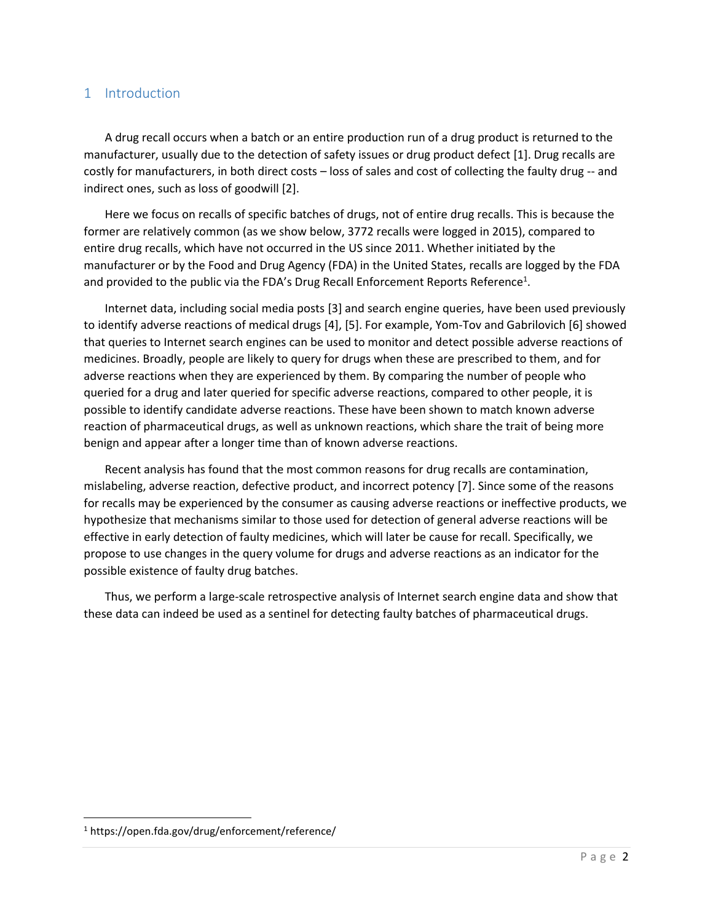### 1 Introduction

A drug recall occurs when a batch or an entire production run of a drug product is returned to the manufacturer, usually due to the detection of safety issues or drug product defect [1]. Drug recalls are costly for manufacturers, in both direct costs – loss of sales and cost of collecting the faulty drug -- and indirect ones, such as loss of goodwill [2].

Here we focus on recalls of specific batches of drugs, not of entire drug recalls. This is because the former are relatively common (as we show below, 3772 recalls were logged in 2015), compared to entire drug recalls, which have not occurred in the US since 2011. Whether initiated by the manufacturer or by the Food and Drug Agency (FDA) in the United States, recalls are logged by the FDA and provided to the public via the FDA's Drug Recall Enforcement Reports Reference<sup>1</sup>.

Internet data, including social media posts [\[3\]](#page-10-0) and search engine queries, have been used previously to identify adverse reactions of medical drugs [4], [5]. For example, Yom-Tov and Gabrilovich [6] showed that queries to Internet search engines can be used to monitor and detect possible adverse reactions of medicines. Broadly, people are likely to query for drugs when these are prescribed to them, and for adverse reactions when they are experienced by them. By comparing the number of people who queried for a drug and later queried for specific adverse reactions, compared to other people, it is possible to identify candidate adverse reactions. These have been shown to match known adverse reaction of pharmaceutical drugs, as well as unknown reactions, which share the trait of being more benign and appear after a longer time than of known adverse reactions.

Recent analysis has found that the most common reasons for drug recalls are contamination, mislabeling, adverse reaction, defective product, and incorrect potency [7]. Since some of the reasons for recalls may be experienced by the consumer as causing adverse reactions or ineffective products, we hypothesize that mechanisms similar to those used for detection of general adverse reactions will be effective in early detection of faulty medicines, which will later be cause for recall. Specifically, we propose to use changes in the query volume for drugs and adverse reactions as an indicator for the possible existence of faulty drug batches.

Thus, we perform a large-scale retrospective analysis of Internet search engine data and show that these data can indeed be used as a sentinel for detecting faulty batches of pharmaceutical drugs.

 $\overline{\phantom{a}}$ 

<sup>1</sup> https://open.fda.gov/drug/enforcement/reference/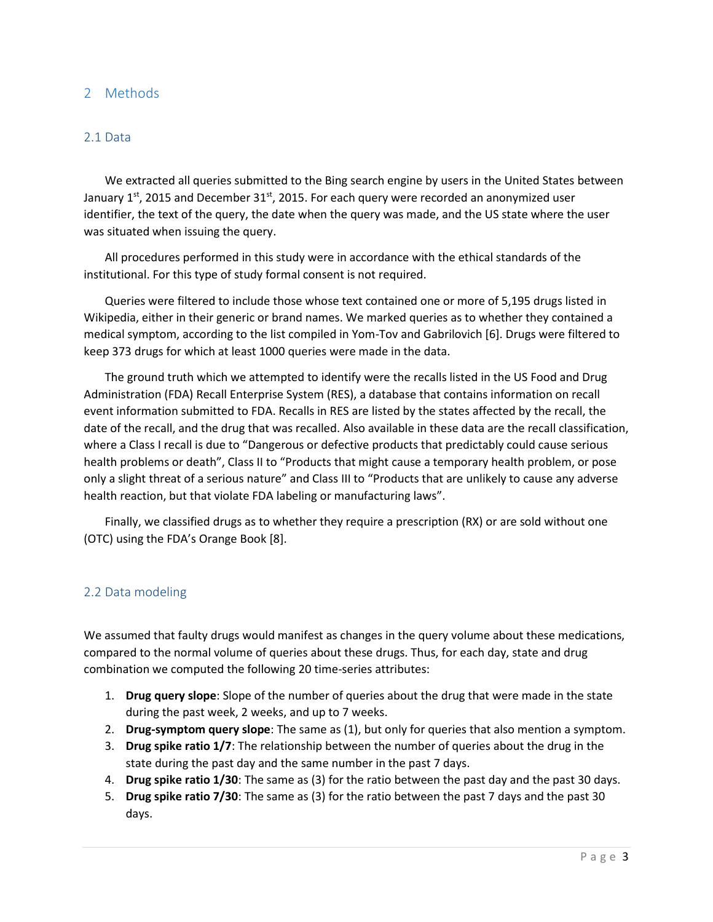### 2 Methods

#### 2.1 Data

We extracted all queries submitted to the Bing search engine by users in the United States between January  $1<sup>st</sup>$ , 2015 and December 31 $<sup>st</sup>$ , 2015. For each query were recorded an anonymized user</sup> identifier, the text of the query, the date when the query was made, and the US state where the user was situated when issuing the query.

All procedures performed in this study were in accordance with the ethical standards of the institutional. For this type of study formal consent is not required.

Queries were filtered to include those whose text contained one or more of 5,195 drugs listed in Wikipedia, either in their generic or brand names. We marked queries as to whether they contained a medical symptom, according to the list compiled in Yom-Tov and Gabrilovich [6]. Drugs were filtered to keep 373 drugs for which at least 1000 queries were made in the data.

The ground truth which we attempted to identify were the recalls listed in the US Food and Drug Administration (FDA) Recall Enterprise System (RES), a database that contains information on recall event information submitted to FDA. Recalls in RES are listed by the states affected by the recall, the date of the recall, and the drug that was recalled. Also available in these data are the recall classification, where a Class I recall is due to "Dangerous or defective products that predictably could cause serious health problems or death", Class II to "Products that might cause a temporary health problem, or pose only a slight threat of a serious nature" and Class III to "Products that are unlikely to cause any adverse health reaction, but that violate FDA labeling or manufacturing laws".

Finally, we classified drugs as to whether they require a prescription (RX) or are sold without one (OTC) using the FDA's Orange Book [\[8\]](#page-10-1).

#### 2.2 Data modeling

We assumed that faulty drugs would manifest as changes in the query volume about these medications, compared to the normal volume of queries about these drugs. Thus, for each day, state and drug combination we computed the following 20 time-series attributes:

- 1. **Drug query slope**: Slope of the number of queries about the drug that were made in the state during the past week, 2 weeks, and up to 7 weeks.
- 2. **Drug-symptom query slope**: The same as (1), but only for queries that also mention a symptom.
- 3. **Drug spike ratio 1/7**: The relationship between the number of queries about the drug in the state during the past day and the same number in the past 7 days.
- 4. **Drug spike ratio 1/30**: The same as (3) for the ratio between the past day and the past 30 days.
- 5. **Drug spike ratio 7/30**: The same as (3) for the ratio between the past 7 days and the past 30 days.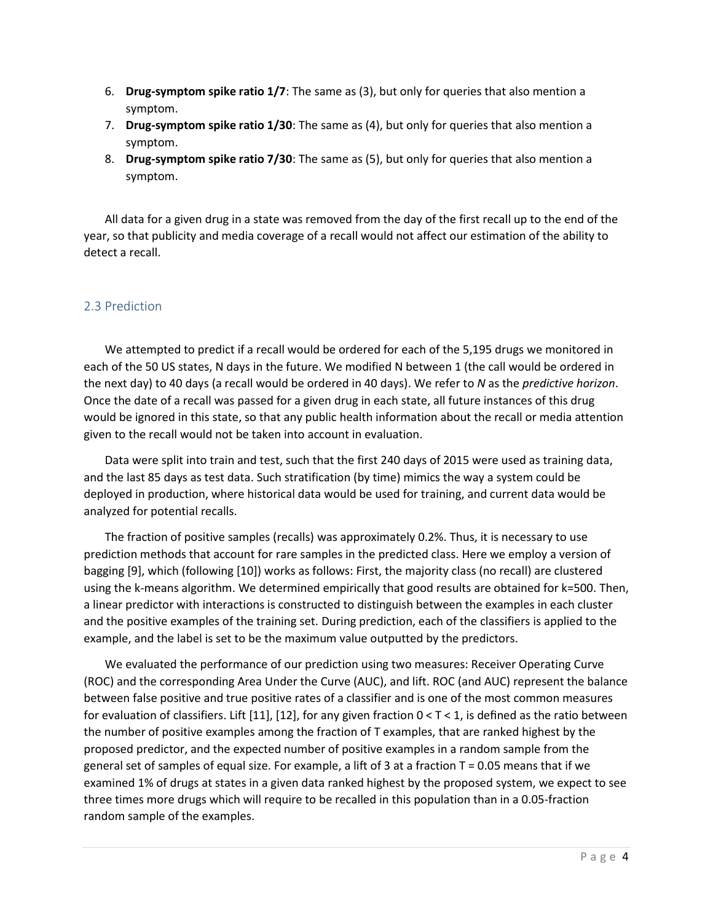- 6. **Drug-symptom spike ratio 1/7**: The same as (3), but only for queries that also mention a symptom.
- 7. **Drug-symptom spike ratio 1/30**: The same as (4), but only for queries that also mention a symptom.
- 8. **Drug-symptom spike ratio 7/30**: The same as (5), but only for queries that also mention a symptom.

All data for a given drug in a state was removed from the day of the first recall up to the end of the year, so that publicity and media coverage of a recall would not affect our estimation of the ability to detect a recall.

#### 2.3 Prediction

We attempted to predict if a recall would be ordered for each of the 5,195 drugs we monitored in each of the 50 US states, N days in the future. We modified N between 1 (the call would be ordered in the next day) to 40 days (a recall would be ordered in 40 days). We refer to *N* as the *predictive horizon*. Once the date of a recall was passed for a given drug in each state, all future instances of this drug would be ignored in this state, so that any public health information about the recall or media attention given to the recall would not be taken into account in evaluation.

Data were split into train and test, such that the first 240 days of 2015 were used as training data, and the last 85 days as test data. Such stratification (by time) mimics the way a system could be deployed in production, where historical data would be used for training, and current data would be analyzed for potential recalls.

The fraction of positive samples (recalls) was approximately 0.2%. Thus, it is necessary to use prediction methods that account for rare samples in the predicted class. Here we employ a version of bagging [9], which (following [10]) works as follows: First, the majority class (no recall) are clustered using the k-means algorithm. We determined empirically that good results are obtained for k=500. Then, a linear predictor with interactions is constructed to distinguish between the examples in each cluster and the positive examples of the training set. During prediction, each of the classifiers is applied to the example, and the label is set to be the maximum value outputted by the predictors.

We evaluated the performance of our prediction using two measures: Receiver Operating Curve (ROC) and the corresponding Area Under the Curve (AUC), and lift. ROC (and AUC) represent the balance between false positive and true positive rates of a classifier and is one of the most common measures for evaluation of classifiers. Lift [11], [12], for any given fraction  $0 < T < 1$ , is defined as the ratio between the number of positive examples among the fraction of T examples, that are ranked highest by the proposed predictor, and the expected number of positive examples in a random sample from the general set of samples of equal size. For example, a lift of 3 at a fraction  $T = 0.05$  means that if we examined 1% of drugs at states in a given data ranked highest by the proposed system, we expect to see three times more drugs which will require to be recalled in this population than in a 0.05-fraction random sample of the examples.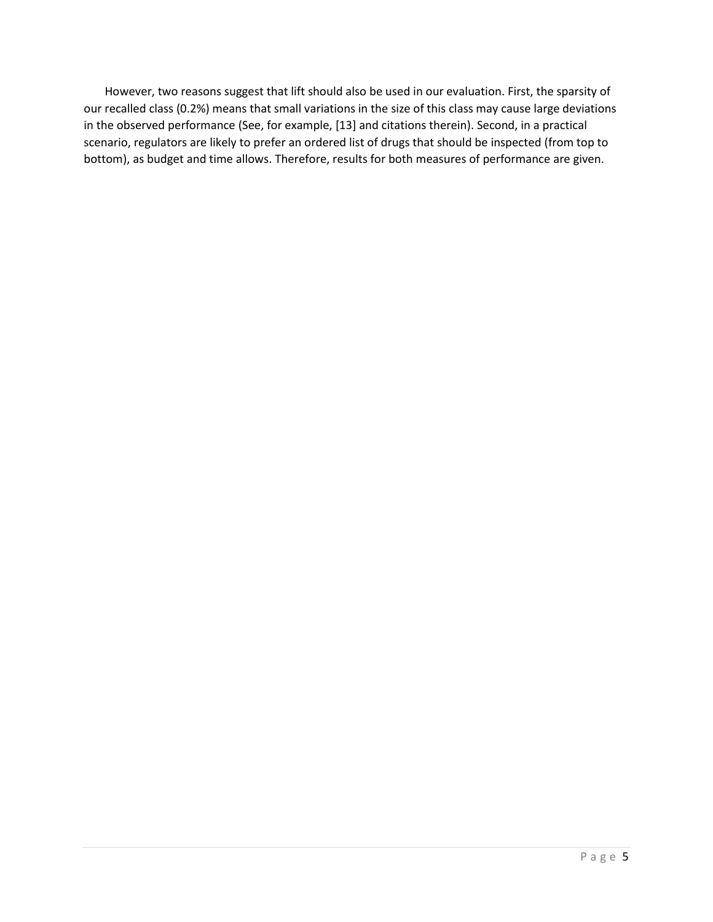However, two reasons suggest that lift should also be used in our evaluation. First, the sparsity of our recalled class (0.2%) means that small variations in the size of this class may cause large deviations in the observed performance (See, for example, [13] and citations therein). Second, in a practical scenario, regulators are likely to prefer an ordered list of drugs that should be inspected (from top to bottom), as budget and time allows. Therefore, results for both measures of performance are given.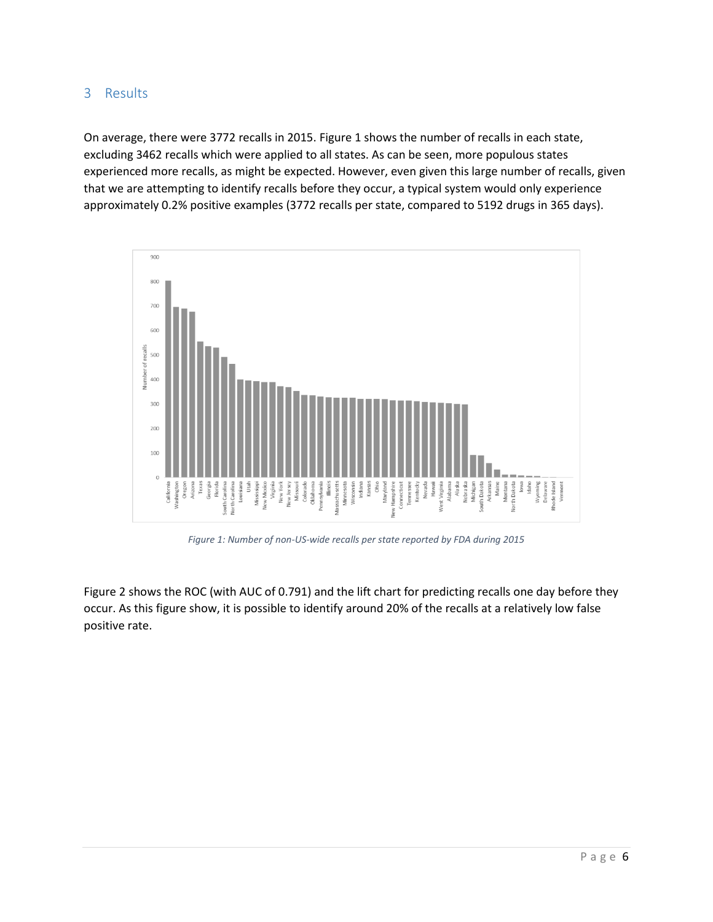# 3 Results

On average, there were 3772 recalls in 2015. [Figure 1](#page-5-0) shows the number of recalls in each state, excluding 3462 recalls which were applied to all states. As can be seen, more populous states experienced more recalls, as might be expected. However, even given this large number of recalls, given that we are attempting to identify recalls before they occur, a typical system would only experience approximately 0.2% positive examples (3772 recalls per state, compared to 5192 drugs in 365 days).



*Figure 1: Number of non-US-wide recalls per state reported by FDA during 2015*

<span id="page-5-0"></span>[Figure 2](#page-6-0) shows the ROC (with AUC of 0.791) and the lift chart for predicting recalls one day before they occur. As this figure show, it is possible to identify around 20% of the recalls at a relatively low false positive rate.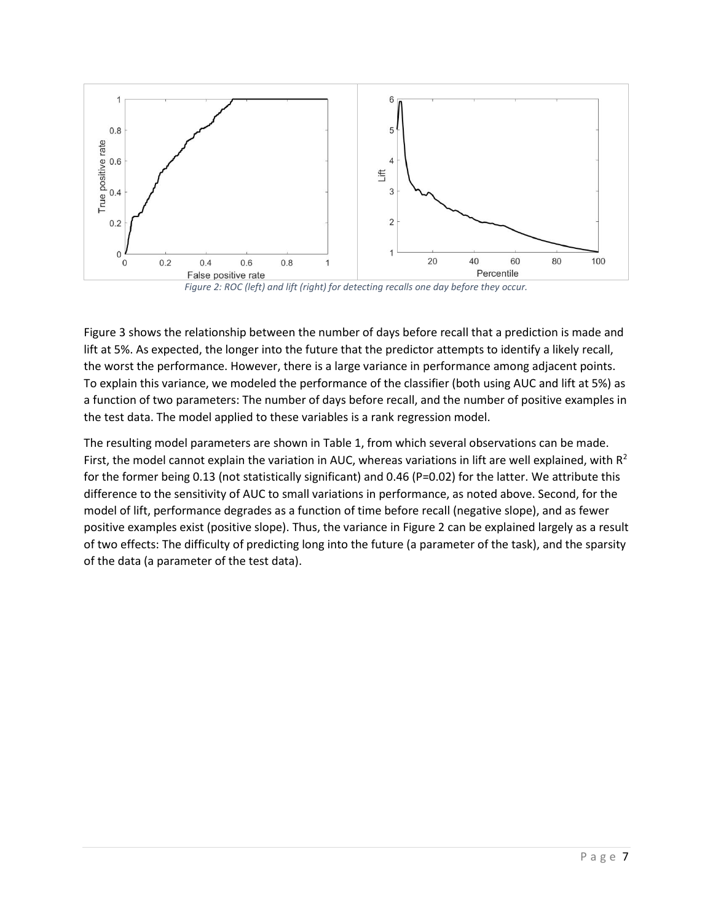

*Figure 2: ROC (left) and lift (right) for detecting recalls one day before they occur.*

<span id="page-6-0"></span>[Figure 3](#page-7-0) shows the relationship between the number of days before recall that a prediction is made and lift at 5%. As expected, the longer into the future that the predictor attempts to identify a likely recall, the worst the performance. However, there is a large variance in performance among adjacent points. To explain this variance, we modeled the performance of the classifier (both using AUC and lift at 5%) as a function of two parameters: The number of days before recall, and the number of positive examples in the test data. The model applied to these variables is a rank regression model.

The resulting model parameters are shown i[n Table 1,](#page-7-1) from which several observations can be made. First, the model cannot explain the variation in AUC, whereas variations in lift are well explained, with  $R^2$ for the former being 0.13 (not statistically significant) and 0.46 (P=0.02) for the latter. We attribute this difference to the sensitivity of AUC to small variations in performance, as noted above. Second, for the model of lift, performance degrades as a function of time before recall (negative slope), and as fewer positive examples exist (positive slope). Thus, the variance in [Figure 2](#page-6-0) can be explained largely as a result of two effects: The difficulty of predicting long into the future (a parameter of the task), and the sparsity of the data (a parameter of the test data).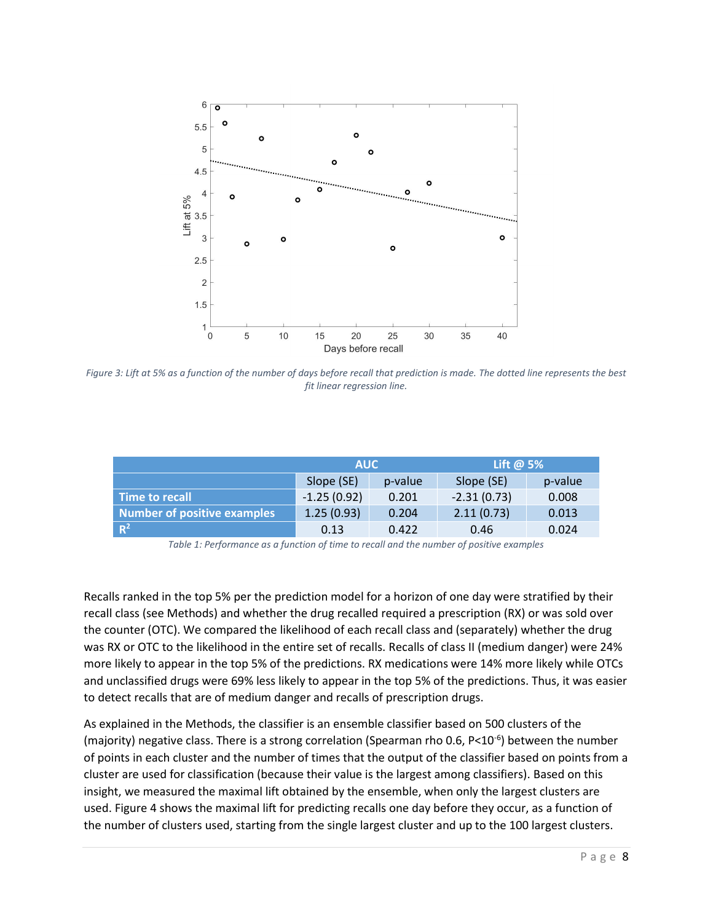

<span id="page-7-0"></span>*Figure 3: Lift at 5% as a function of the number of days before recall that prediction is made. The dotted line represents the best fit linear regression line.*

|                             | <b>AUC</b>    |         | Lift @ $5%$   |         |
|-----------------------------|---------------|---------|---------------|---------|
|                             | Slope (SE)    | p-value | Slope (SE)    | p-value |
| Time to recall              | $-1.25(0.92)$ | 0.201   | $-2.31(0.73)$ | 0.008   |
| Number of positive examples | 1.25(0.93)    | 0.204   | 2.11(0.73)    | 0.013   |
| $R^2$                       | 0.13          | 0.422   | 0.46          | 0.024   |

*Table 1: Performance as a function of time to recall and the number of positive examples*

<span id="page-7-1"></span>Recalls ranked in the top 5% per the prediction model for a horizon of one day were stratified by their recall class (see Methods) and whether the drug recalled required a prescription (RX) or was sold over the counter (OTC). We compared the likelihood of each recall class and (separately) whether the drug was RX or OTC to the likelihood in the entire set of recalls. Recalls of class II (medium danger) were 24% more likely to appear in the top 5% of the predictions. RX medications were 14% more likely while OTCs and unclassified drugs were 69% less likely to appear in the top 5% of the predictions. Thus, it was easier to detect recalls that are of medium danger and recalls of prescription drugs.

As explained in the Methods, the classifier is an ensemble classifier based on 500 clusters of the (majority) negative class. There is a strong correlation (Spearman rho 0.6, P<10<sup>-6</sup>) between the number of points in each cluster and the number of times that the output of the classifier based on points from a cluster are used for classification (because their value is the largest among classifiers). Based on this insight, we measured the maximal lift obtained by the ensemble, when only the largest clusters are used[. Figure 4](#page-8-0) shows the maximal lift for predicting recalls one day before they occur, as a function of the number of clusters used, starting from the single largest cluster and up to the 100 largest clusters.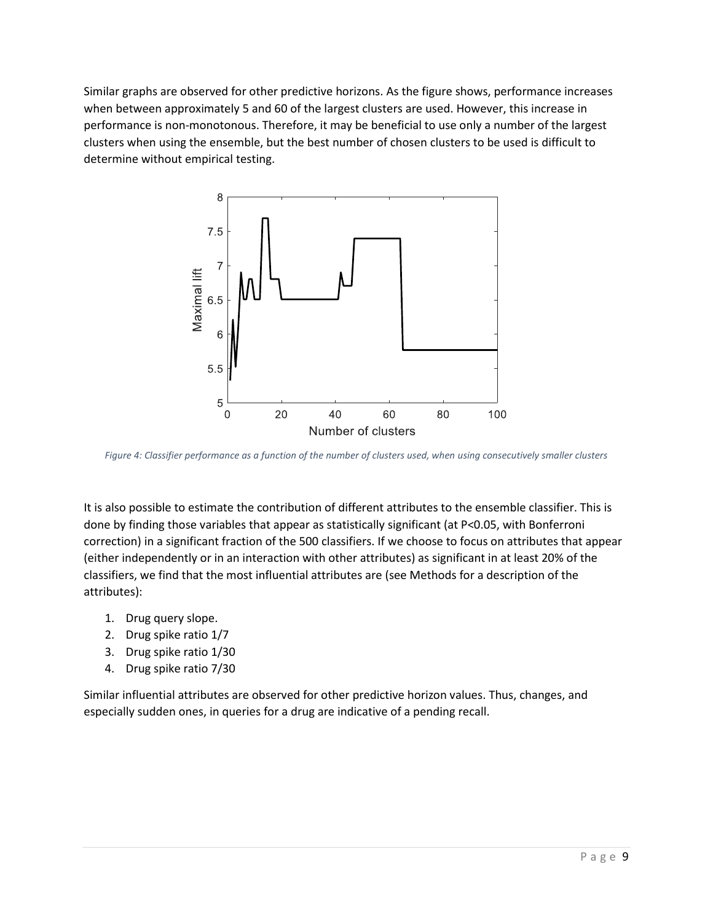Similar graphs are observed for other predictive horizons. As the figure shows, performance increases when between approximately 5 and 60 of the largest clusters are used. However, this increase in performance is non-monotonous. Therefore, it may be beneficial to use only a number of the largest clusters when using the ensemble, but the best number of chosen clusters to be used is difficult to determine without empirical testing.



<span id="page-8-0"></span>*Figure 4: Classifier performance as a function of the number of clusters used, when using consecutively smaller clusters*

It is also possible to estimate the contribution of different attributes to the ensemble classifier. This is done by finding those variables that appear as statistically significant (at P<0.05, with Bonferroni correction) in a significant fraction of the 500 classifiers. If we choose to focus on attributes that appear (either independently or in an interaction with other attributes) as significant in at least 20% of the classifiers, we find that the most influential attributes are (see Methods for a description of the attributes):

- 1. Drug query slope.
- 2. Drug spike ratio 1/7
- 3. Drug spike ratio 1/30
- 4. Drug spike ratio 7/30

Similar influential attributes are observed for other predictive horizon values. Thus, changes, and especially sudden ones, in queries for a drug are indicative of a pending recall.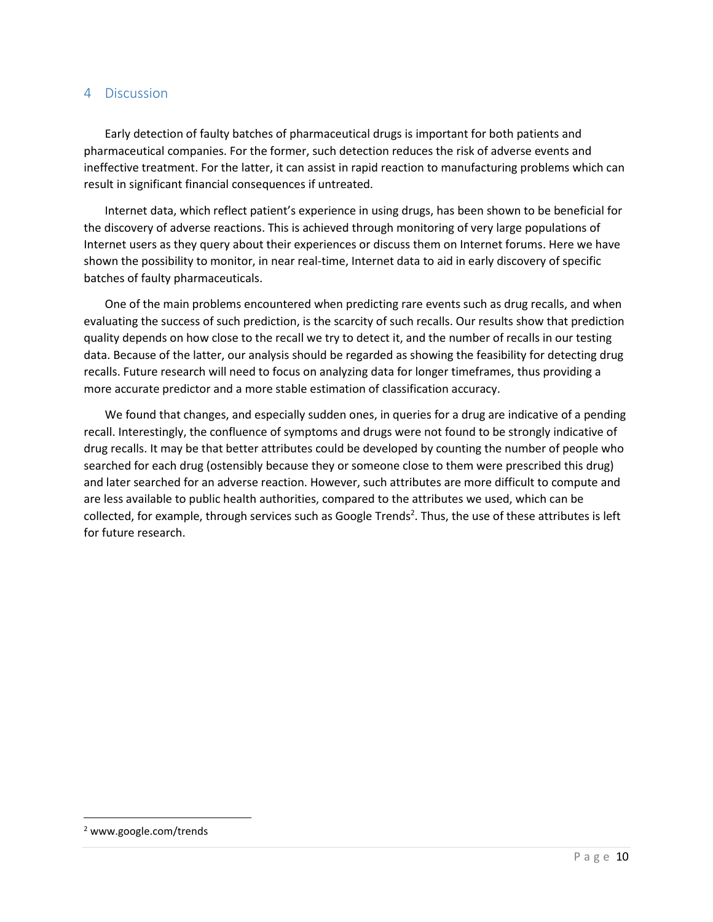#### 4 Discussion

Early detection of faulty batches of pharmaceutical drugs is important for both patients and pharmaceutical companies. For the former, such detection reduces the risk of adverse events and ineffective treatment. For the latter, it can assist in rapid reaction to manufacturing problems which can result in significant financial consequences if untreated.

Internet data, which reflect patient's experience in using drugs, has been shown to be beneficial for the discovery of adverse reactions. This is achieved through monitoring of very large populations of Internet users as they query about their experiences or discuss them on Internet forums. Here we have shown the possibility to monitor, in near real-time, Internet data to aid in early discovery of specific batches of faulty pharmaceuticals.

One of the main problems encountered when predicting rare events such as drug recalls, and when evaluating the success of such prediction, is the scarcity of such recalls. Our results show that prediction quality depends on how close to the recall we try to detect it, and the number of recalls in our testing data. Because of the latter, our analysis should be regarded as showing the feasibility for detecting drug recalls. Future research will need to focus on analyzing data for longer timeframes, thus providing a more accurate predictor and a more stable estimation of classification accuracy.

We found that changes, and especially sudden ones, in queries for a drug are indicative of a pending recall. Interestingly, the confluence of symptoms and drugs were not found to be strongly indicative of drug recalls. It may be that better attributes could be developed by counting the number of people who searched for each drug (ostensibly because they or someone close to them were prescribed this drug) and later searched for an adverse reaction. However, such attributes are more difficult to compute and are less available to public health authorities, compared to the attributes we used, which can be collected, for example, through services such as Google Trends<sup>2</sup>. Thus, the use of these attributes is left for future research.

 $\overline{\phantom{a}}$ 

<sup>2</sup> www.google.com/trends